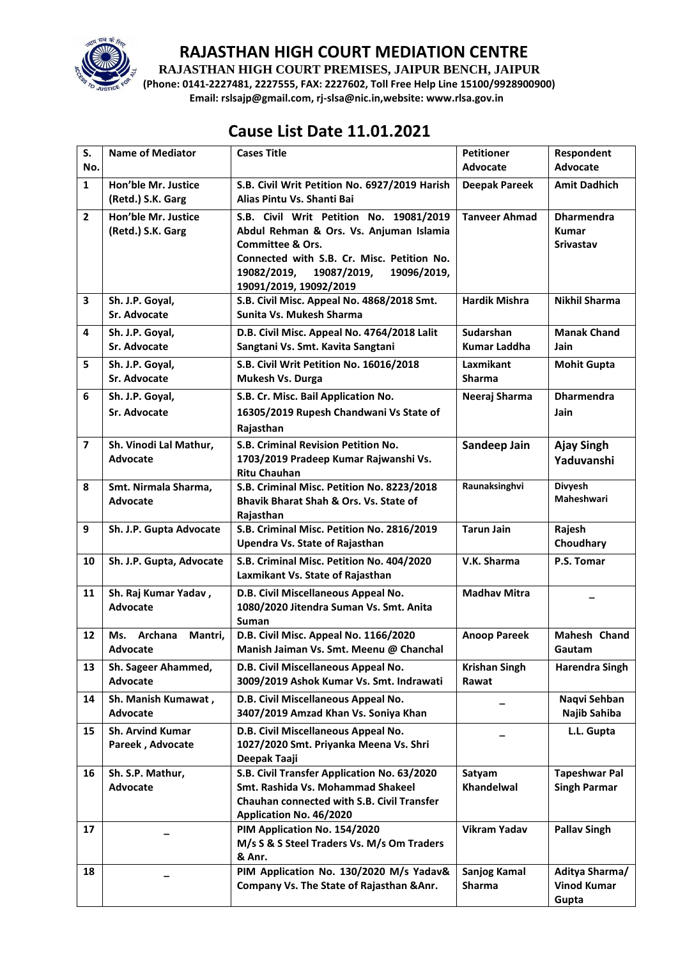

**RAJASTHAN HIGH COURT PREMISES, JAIPUR BENCH, JAIPUR**

**(Phone: 0141-2227481, 2227555, FAX: 2227602, Toll Free Help Line 15100/9928900900) Email: rslsajp@gmail.com, rj-slsa@nic.in,website: www.rlsa.gov.in**

# **Cause List Date 11.01.2021**

| S.<br>No.               | <b>Name of Mediator</b>                 | <b>Cases Title</b>                                                                   | <b>Petitioner</b><br><b>Advocate</b> | Respondent<br><b>Advocate</b> |
|-------------------------|-----------------------------------------|--------------------------------------------------------------------------------------|--------------------------------------|-------------------------------|
| $\mathbf{1}$            | Hon'ble Mr. Justice                     |                                                                                      |                                      |                               |
|                         | (Retd.) S.K. Garg                       | S.B. Civil Writ Petition No. 6927/2019 Harish<br>Alias Pintu Vs. Shanti Bai          | <b>Deepak Pareek</b>                 | <b>Amit Dadhich</b>           |
| $\overline{2}$          | Hon'ble Mr. Justice                     | S.B. Civil Writ Petition No. 19081/2019                                              | <b>Tanveer Ahmad</b>                 | <b>Dharmendra</b>             |
|                         | (Retd.) S.K. Garg                       | Abdul Rehman & Ors. Vs. Anjuman Islamia                                              |                                      | <b>Kumar</b>                  |
|                         |                                         | <b>Committee &amp; Ors.</b>                                                          |                                      | <b>Srivastav</b>              |
|                         |                                         | Connected with S.B. Cr. Misc. Petition No.                                           |                                      |                               |
|                         |                                         | 19082/2019,<br>19087/2019,<br>19096/2019,                                            |                                      |                               |
|                         |                                         | 19091/2019, 19092/2019                                                               |                                      |                               |
| 3                       | Sh. J.P. Goyal,                         | S.B. Civil Misc. Appeal No. 4868/2018 Smt.                                           | <b>Hardik Mishra</b>                 | <b>Nikhil Sharma</b>          |
|                         | <b>Sr. Advocate</b>                     | Sunita Vs. Mukesh Sharma                                                             |                                      |                               |
| 4                       | Sh. J.P. Goyal,                         | D.B. Civil Misc. Appeal No. 4764/2018 Lalit                                          | Sudarshan                            | <b>Manak Chand</b>            |
|                         | Sr. Advocate                            | Sangtani Vs. Smt. Kavita Sangtani                                                    | <b>Kumar Laddha</b>                  | Jain                          |
| 5                       | Sh. J.P. Goyal,                         | S.B. Civil Writ Petition No. 16016/2018                                              | Laxmikant                            | <b>Mohit Gupta</b>            |
|                         | <b>Sr. Advocate</b>                     | Mukesh Vs. Durga                                                                     | <b>Sharma</b>                        |                               |
| 6                       | Sh. J.P. Goyal,                         | S.B. Cr. Misc. Bail Application No.                                                  | Neeraj Sharma                        | <b>Dharmendra</b>             |
|                         |                                         |                                                                                      |                                      |                               |
|                         | Sr. Advocate                            | 16305/2019 Rupesh Chandwani Vs State of                                              |                                      | Jain                          |
|                         |                                         | Rajasthan                                                                            |                                      |                               |
| $\overline{\mathbf{z}}$ | Sh. Vinodi Lal Mathur,                  | S.B. Criminal Revision Petition No.                                                  | Sandeep Jain                         | <b>Ajay Singh</b>             |
|                         | <b>Advocate</b>                         | 1703/2019 Pradeep Kumar Rajwanshi Vs.                                                |                                      | Yaduvanshi                    |
|                         |                                         | <b>Ritu Chauhan</b>                                                                  |                                      |                               |
| 8                       | Smt. Nirmala Sharma,<br><b>Advocate</b> | S.B. Criminal Misc. Petition No. 8223/2018<br>Bhavik Bharat Shah & Ors. Vs. State of | Raunaksinghvi                        | Divyesh<br><b>Maheshwari</b>  |
|                         |                                         | Rajasthan                                                                            |                                      |                               |
| 9                       | Sh. J.P. Gupta Advocate                 | S.B. Criminal Misc. Petition No. 2816/2019                                           | <b>Tarun Jain</b>                    | Rajesh                        |
|                         |                                         | Upendra Vs. State of Rajasthan                                                       |                                      | Choudhary                     |
| 10                      | Sh. J.P. Gupta, Advocate                | S.B. Criminal Misc. Petition No. 404/2020                                            | V.K. Sharma                          | P.S. Tomar                    |
|                         |                                         | Laxmikant Vs. State of Rajasthan                                                     |                                      |                               |
|                         |                                         |                                                                                      |                                      |                               |
| 11                      | Sh. Raj Kumar Yadav,                    | D.B. Civil Miscellaneous Appeal No.<br>1080/2020 Jitendra Suman Vs. Smt. Anita       | <b>Madhav Mitra</b>                  |                               |
|                         | <b>Advocate</b>                         | Suman                                                                                |                                      |                               |
| 12                      | Archana<br>Ms.<br>Mantri,               | D.B. Civil Misc. Appeal No. 1166/2020                                                | <b>Anoop Pareek</b>                  | Mahesh Chand                  |
|                         | Advocate                                | Manish Jaiman Vs. Smt. Meenu @ Chanchal                                              |                                      | Gautam                        |
|                         |                                         |                                                                                      |                                      |                               |
| 13                      | Sh. Sageer Ahammed,<br><b>Advocate</b>  | D.B. Civil Miscellaneous Appeal No.                                                  | <b>Krishan Singh</b><br>Rawat        | <b>Harendra Singh</b>         |
|                         |                                         | 3009/2019 Ashok Kumar Vs. Smt. Indrawati                                             |                                      |                               |
| 14                      | Sh. Manish Kumawat,                     | D.B. Civil Miscellaneous Appeal No.                                                  |                                      | Naqvi Sehban                  |
|                         | <b>Advocate</b>                         | 3407/2019 Amzad Khan Vs. Soniya Khan                                                 |                                      | Najib Sahiba                  |
| 15                      | <b>Sh. Arvind Kumar</b>                 | D.B. Civil Miscellaneous Appeal No.                                                  |                                      | L.L. Gupta                    |
|                         | Pareek, Advocate                        | 1027/2020 Smt. Priyanka Meena Vs. Shri                                               |                                      |                               |
|                         |                                         | Deepak Taaji                                                                         |                                      |                               |
| 16                      | Sh. S.P. Mathur,                        | S.B. Civil Transfer Application No. 63/2020                                          | Satyam                               | <b>Tapeshwar Pal</b>          |
|                         | Advocate                                | Smt. Rashida Vs. Mohammad Shakeel<br>Chauhan connected with S.B. Civil Transfer      | Khandelwal                           | <b>Singh Parmar</b>           |
|                         |                                         | Application No. 46/2020                                                              |                                      |                               |
| 17                      |                                         | PIM Application No. 154/2020                                                         | <b>Vikram Yadav</b>                  | <b>Pallav Singh</b>           |
|                         |                                         | M/s S & S Steel Traders Vs. M/s Om Traders                                           |                                      |                               |
|                         |                                         | & Anr.                                                                               |                                      |                               |
| 18                      |                                         | PIM Application No. 130/2020 M/s Yadav&                                              | Sanjog Kamal                         | Aditya Sharma/                |
|                         |                                         | Company Vs. The State of Rajasthan & Anr.                                            | Sharma                               | <b>Vinod Kumar</b>            |
|                         |                                         |                                                                                      |                                      | Gupta                         |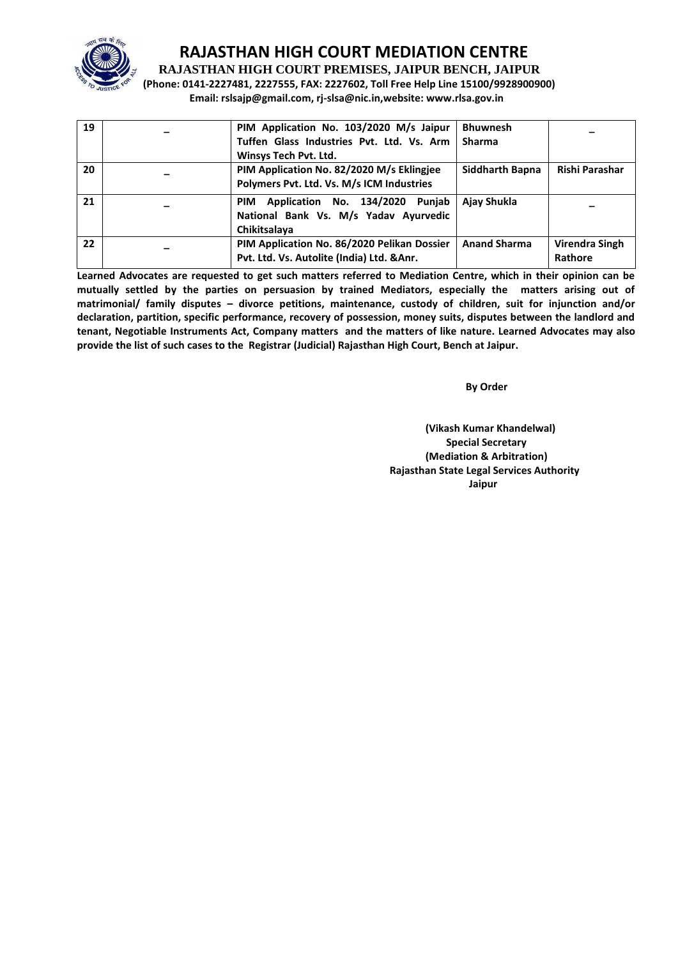

**RAJASTHAN HIGH COURT PREMISES, JAIPUR BENCH, JAIPUR**

**(Phone: 0141-2227481, 2227555, FAX: 2227602, Toll Free Help Line 15100/9928900900) Email: rslsajp@gmail.com, rj-slsa@nic.in,website: www.rlsa.gov.in**

| 19 | PIM Application No. 103/2020 M/s Jaipur<br>Tuffen Glass Industries Pvt. Ltd. Vs. Arm | <b>Bhuwnesh</b><br><b>Sharma</b> |                |
|----|--------------------------------------------------------------------------------------|----------------------------------|----------------|
|    | Winsys Tech Pvt. Ltd.                                                                |                                  |                |
| 20 | PIM Application No. 82/2020 M/s Eklingjee                                            | Siddharth Bapna                  | Rishi Parashar |
|    | Polymers Pvt. Ltd. Vs. M/s ICM Industries                                            |                                  |                |
| 21 | Application No. 134/2020<br>Punjab<br><b>PIM</b>                                     | Ajay Shukla                      |                |
|    | National Bank Vs. M/s Yadav Ayurvedic                                                |                                  |                |
|    | Chikitsalaya                                                                         |                                  |                |
| 22 | PIM Application No. 86/2020 Pelikan Dossier                                          | <b>Anand Sharma</b>              | Virendra Singh |
|    | Pvt. Ltd. Vs. Autolite (India) Ltd. & Anr.                                           |                                  | Rathore        |

**Learned Advocates are requested to get such matters referred to Mediation Centre, which in their opinion can be mutually settled by the parties on persuasion by trained Mediators, especially the matters arising out of matrimonial/ family disputes – divorce petitions, maintenance, custody of children, suit for injunction and/or declaration, partition, specific performance, recovery of possession, money suits, disputes between the landlord and tenant, Negotiable Instruments Act, Company matters and the matters of like nature. Learned Advocates may also provide the list of such cases to the Registrar (Judicial) Rajasthan High Court, Bench at Jaipur.** 

 **By Order** 

**(Vikash Kumar Khandelwal) Special Secretary (Mediation & Arbitration) Rajasthan State Legal Services Authority Jaipur**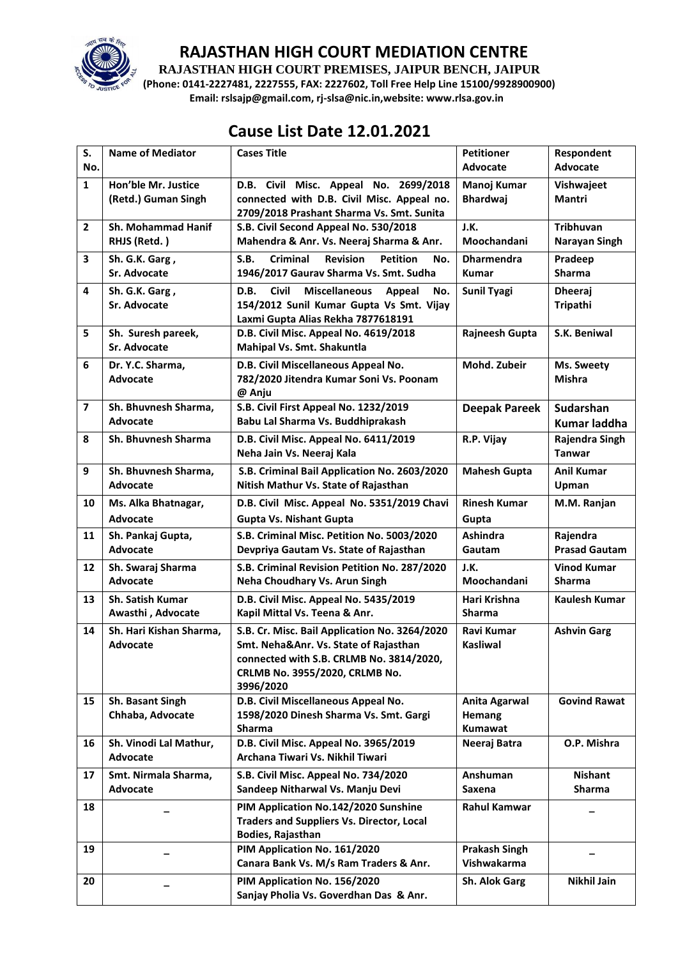

**RAJASTHAN HIGH COURT PREMISES, JAIPUR BENCH, JAIPUR**

**(Phone: 0141-2227481, 2227555, FAX: 2227602, Toll Free Help Line 15100/9928900900) Email: rslsajp@gmail.com, rj-slsa@nic.in,website: www.rlsa.gov.in**

## **Cause List Date 12.01.2021**

| S.                      | <b>Name of Mediator</b>                      | <b>Cases Title</b>                                                                                                                                                                | <b>Petitioner</b>                                | Respondent                          |
|-------------------------|----------------------------------------------|-----------------------------------------------------------------------------------------------------------------------------------------------------------------------------------|--------------------------------------------------|-------------------------------------|
| No.                     |                                              |                                                                                                                                                                                   | Advocate                                         | <b>Advocate</b>                     |
| $\mathbf{1}$            | Hon'ble Mr. Justice<br>(Retd.) Guman Singh   | D.B. Civil Misc. Appeal No. 2699/2018<br>connected with D.B. Civil Misc. Appeal no.<br>2709/2018 Prashant Sharma Vs. Smt. Sunita                                                  | Manoj Kumar<br><b>Bhardwaj</b>                   | Vishwajeet<br><b>Mantri</b>         |
| $\mathbf{2}$            | Sh. Mohammad Hanif<br>RHJS (Retd.)           | S.B. Civil Second Appeal No. 530/2018<br>Mahendra & Anr. Vs. Neeraj Sharma & Anr.                                                                                                 | J.K.<br>Moochandani                              | <b>Tribhuvan</b><br>Narayan Singh   |
| 3                       | Sh. G.K. Garg,<br>Sr. Advocate               | S.B.<br><b>Criminal</b><br><b>Revision</b><br><b>Petition</b><br>No.<br>1946/2017 Gaurav Sharma Vs. Smt. Sudha                                                                    | <b>Dharmendra</b><br><b>Kumar</b>                | Pradeep<br><b>Sharma</b>            |
| 4                       | Sh. G.K. Garg,<br>Sr. Advocate               | <b>Civil</b><br>D.B.<br><b>Miscellaneous</b><br>Appeal<br>No.<br>154/2012 Sunil Kumar Gupta Vs Smt. Vijay<br>Laxmi Gupta Alias Rekha 7877618191                                   | <b>Sunil Tyagi</b>                               | <b>Dheeraj</b><br>Tripathi          |
| 5                       | Sh. Suresh pareek,<br>Sr. Advocate           | D.B. Civil Misc. Appeal No. 4619/2018<br>Mahipal Vs. Smt. Shakuntla                                                                                                               | Rajneesh Gupta                                   | S.K. Beniwal                        |
| 6                       | Dr. Y.C. Sharma,<br><b>Advocate</b>          | D.B. Civil Miscellaneous Appeal No.<br>782/2020 Jitendra Kumar Soni Vs. Poonam<br>@ Anju                                                                                          | Mohd. Zubeir                                     | Ms. Sweety<br>Mishra                |
| $\overline{\mathbf{z}}$ | Sh. Bhuvnesh Sharma,<br><b>Advocate</b>      | S.B. Civil First Appeal No. 1232/2019<br>Babu Lal Sharma Vs. Buddhiprakash                                                                                                        | <b>Deepak Pareek</b>                             | <b>Sudarshan</b><br>Kumar laddha    |
| 8                       | <b>Sh. Bhuvnesh Sharma</b>                   | D.B. Civil Misc. Appeal No. 6411/2019<br>Neha Jain Vs. Neeraj Kala                                                                                                                | R.P. Vijay                                       | Rajendra Singh<br><b>Tanwar</b>     |
| 9                       | Sh. Bhuvnesh Sharma,<br>Advocate             | S.B. Criminal Bail Application No. 2603/2020<br>Nitish Mathur Vs. State of Rajasthan                                                                                              | <b>Mahesh Gupta</b>                              | <b>Anil Kumar</b><br>Upman          |
| 10                      | Ms. Alka Bhatnagar,<br><b>Advocate</b>       | D.B. Civil Misc. Appeal No. 5351/2019 Chavi<br><b>Gupta Vs. Nishant Gupta</b>                                                                                                     | <b>Rinesh Kumar</b><br>Gupta                     | M.M. Ranjan                         |
| 11                      | Sh. Pankaj Gupta,<br>Advocate                | S.B. Criminal Misc. Petition No. 5003/2020<br>Devpriya Gautam Vs. State of Rajasthan                                                                                              | <b>Ashindra</b><br>Gautam                        | Rajendra<br><b>Prasad Gautam</b>    |
| 12                      | Sh. Swaraj Sharma<br><b>Advocate</b>         | S.B. Criminal Revision Petition No. 287/2020<br>Neha Choudhary Vs. Arun Singh                                                                                                     | J.K.<br>Moochandani                              | <b>Vinod Kumar</b><br><b>Sharma</b> |
| 13                      | <b>Sh. Satish Kumar</b><br>Awasthi, Advocate | D.B. Civil Misc. Appeal No. 5435/2019<br>Kapil Mittal Vs. Teena & Anr.                                                                                                            | Hari Krishna<br><b>Sharma</b>                    | Kaulesh Kumar                       |
| 14                      | Sh. Hari Kishan Sharma,<br>Advocate          | S.B. Cr. Misc. Bail Application No. 3264/2020<br>Smt. Neha&Anr. Vs. State of Rajasthan<br>connected with S.B. CRLMB No. 3814/2020,<br>CRLMB No. 3955/2020, CRLMB No.<br>3996/2020 | Ravi Kumar<br><b>Kasliwal</b>                    | <b>Ashvin Garg</b>                  |
| 15                      | Sh. Basant Singh<br>Chhaba, Advocate         | D.B. Civil Miscellaneous Appeal No.<br>1598/2020 Dinesh Sharma Vs. Smt. Gargi<br>Sharma                                                                                           | <b>Anita Agarwal</b><br><b>Hemang</b><br>Kumawat | <b>Govind Rawat</b>                 |
| 16                      | Sh. Vinodi Lal Mathur,<br><b>Advocate</b>    | D.B. Civil Misc. Appeal No. 3965/2019<br>Archana Tiwari Vs. Nikhil Tiwari                                                                                                         | Neeraj Batra                                     | O.P. Mishra                         |
| 17                      | Smt. Nirmala Sharma,<br>Advocate             | S.B. Civil Misc. Appeal No. 734/2020<br>Sandeep Nitharwal Vs. Manju Devi                                                                                                          | Anshuman<br>Saxena                               | <b>Nishant</b><br>Sharma            |
| 18                      |                                              | PIM Application No.142/2020 Sunshine<br><b>Traders and Suppliers Vs. Director, Local</b><br><b>Bodies, Rajasthan</b>                                                              | <b>Rahul Kamwar</b>                              |                                     |
| 19                      |                                              | PIM Application No. 161/2020<br>Canara Bank Vs. M/s Ram Traders & Anr.                                                                                                            | <b>Prakash Singh</b><br>Vishwakarma              |                                     |
| 20                      |                                              | PIM Application No. 156/2020<br>Sanjay Pholia Vs. Goverdhan Das & Anr.                                                                                                            | Sh. Alok Garg                                    | Nikhil Jain                         |